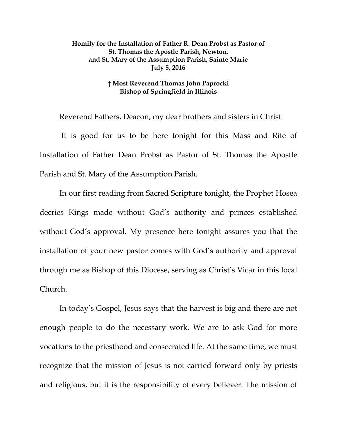## **Homily for the Installation of Father R. Dean Probst as Pastor of St. Thomas the Apostle Parish, Newton, and St. Mary of the Assumption Parish, Sainte Marie July 5, 2016**

## **† Most Reverend Thomas John Paprocki Bishop of Springfield in Illinois**

Reverend Fathers, Deacon, my dear brothers and sisters in Christ:

It is good for us to be here tonight for this Mass and Rite of Installation of Father Dean Probst as Pastor of St. Thomas the Apostle Parish and St. Mary of the Assumption Parish.

In our first reading from Sacred Scripture tonight, the Prophet Hosea decries Kings made without God's authority and princes established without God's approval. My presence here tonight assures you that the installation of your new pastor comes with God's authority and approval through me as Bishop of this Diocese, serving as Christ's Vicar in this local Church.

In today's Gospel, Jesus says that the harvest is big and there are not enough people to do the necessary work. We are to ask God for more vocations to the priesthood and consecrated life. At the same time, we must recognize that the mission of Jesus is not carried forward only by priests and religious, but it is the responsibility of every believer. The mission of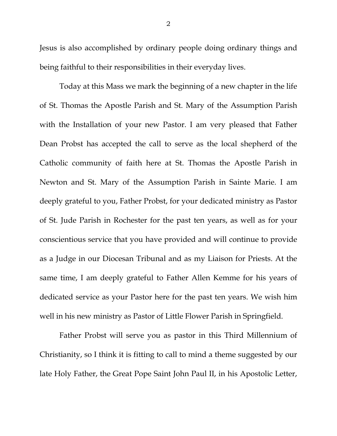Jesus is also accomplished by ordinary people doing ordinary things and being faithful to their responsibilities in their everyday lives.

Today at this Mass we mark the beginning of a new chapter in the life of St. Thomas the Apostle Parish and St. Mary of the Assumption Parish with the Installation of your new Pastor. I am very pleased that Father Dean Probst has accepted the call to serve as the local shepherd of the Catholic community of faith here at St. Thomas the Apostle Parish in Newton and St. Mary of the Assumption Parish in Sainte Marie. I am deeply grateful to you, Father Probst, for your dedicated ministry as Pastor of St. Jude Parish in Rochester for the past ten years, as well as for your conscientious service that you have provided and will continue to provide as a Judge in our Diocesan Tribunal and as my Liaison for Priests. At the same time, I am deeply grateful to Father Allen Kemme for his years of dedicated service as your Pastor here for the past ten years. We wish him well in his new ministry as Pastor of Little Flower Parish in Springfield.

<span id="page-1-0"></span>Father Probst will serve you as pastor in this Third Millennium of Christianity, so I think it is fitting to call to mind a theme suggested by our late Holy Father, the Great Pope Saint John Paul II, in his Apostolic Letter,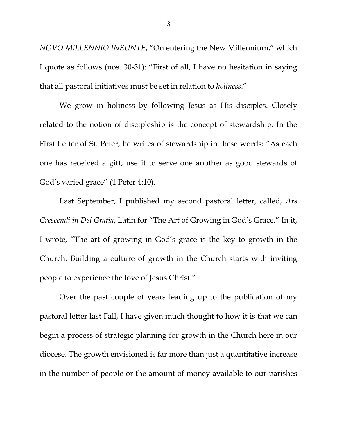*NOVO MILLENNIO INEUNTE*, "On entering the New Millennium," which I quote as follows (nos. 30-31): "First of all, I have no hesitation in saying that all pastoral initiatives must be set in relation to *holiness*."

We grow in holiness by following Jesus as His disciples. Closely related to the notion of discipleship is the concept of stewardship. In the First Letter of St. Peter, he writes of stewardship in these words: "As each one has received a gift, use it to serve one another as good stewards of God's varied grace" (1 Peter 4:10).

Last September, I published my second pastoral letter, called, *Ars Crescendi in Dei Gratia*, Latin for "The Art of Growing in God's Grace." In it, I wrote, "The art of growing in God's grace is the key to growth in the Church. Building a culture of growth in the Church starts with inviting people to experience the love of Jesus Christ."

Over the past couple of years leading up to the publication of my pastoral letter last Fall, I have given much thought to how it is that we can begin a process of strategic planning for growth in the Church here in our diocese. The growth envisioned is far more than just a quantitative increase in the number of people or the amount of money available to our parishes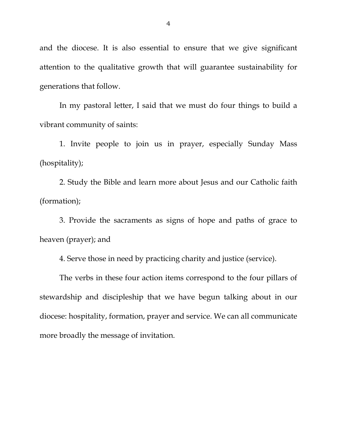and the diocese. It is also essential to ensure that we give significant attention to the qualitative growth that will guarantee sustainability for generations that follow.

In my pastoral letter, I said that we must do four things to build a vibrant community of saints:

1. Invite people to join us in prayer, especially Sunday Mass (hospitality);

2. Study the Bible and learn more about Jesus and our Catholic faith (formation);

3. Provide the sacraments as signs of hope and paths of grace to heaven (prayer); and

4. Serve those in need by practicing charity and justice (service).

The verbs in these four action items correspond to the four pillars of stewardship and discipleship that we have begun talking about in our diocese: hospitality, formation, prayer and service. We can all communicate more broadly the message of invitation.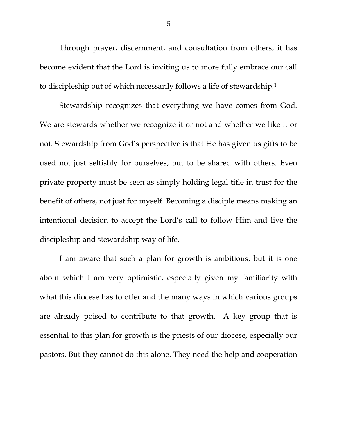Through prayer, discernment, and consultation from others, it has become evident that the Lord is inviting us to more fully embrace our call to discipleship out of which necessarily follows a life of stewardship.[1](#page-1-0) 

Stewardship recognizes that everything we have comes from God. We are stewards whether we recognize it or not and whether we like it or not. Stewardship from God's perspective is that He has given us gifts to be used not just selfishly for ourselves, but to be shared with others. Even private property must be seen as simply holding legal title in trust for the benefit of others, not just for myself. Becoming a disciple means making an intentional decision to accept the Lord's call to follow Him and live the discipleship and stewardship way of life.

I am aware that such a plan for growth is ambitious, but it is one about which I am very optimistic, especially given my familiarity with what this diocese has to offer and the many ways in which various groups are already poised to contribute to that growth. A key group that is essential to this plan for growth is the priests of our diocese, especially our pastors. But they cannot do this alone. They need the help and cooperation

5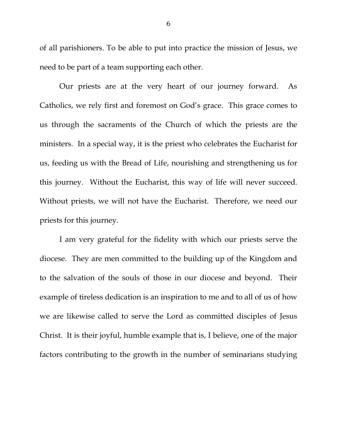of all parishioners. To be able to put into practice the mission of Jesus, we need to be part of a team supporting each other.

Our priests are at the very heart of our journey forward. As Catholics, we rely first and foremost on God's grace. This grace comes to us through the sacraments of the Church of which the priests are the ministers. In a special way, it is the priest who celebrates the Eucharist for us, feeding us with the Bread of Life, nourishing and strengthening us for this journey. Without the Eucharist, this way of life will never succeed. Without priests, we will not have the Eucharist. Therefore, we need our priests for this journey.

I am very grateful for the fidelity with which our priests serve the diocese. They are men committed to the building up of the Kingdom and to the salvation of the souls of those in our diocese and beyond. Their example of tireless dedication is an inspiration to me and to all of us of how we are likewise called to serve the Lord as committed disciples of Jesus Christ. It is their joyful, humble example that is, I believe, one of the major factors contributing to the growth in the number of seminarians studying